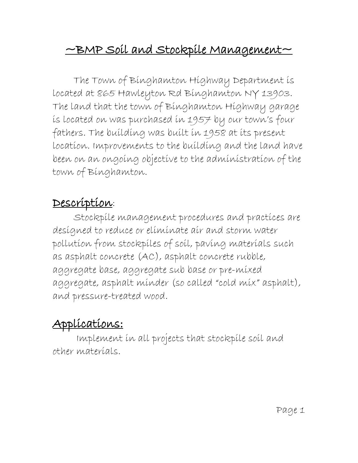# $\sim$ BMP Soil and Stockpile Management $\sim$

The Town of Binghamton Highway Department is located at 865 Hawleyton Rd Binghamton NY 13903. The land that the town of Binghamton Highway garage is located on was purchased in 1957 by our town's four fathers. The building was built in 1958 at its present location. Improvements to the building and the land have been on an ongoing objective to the administration of the town of Binghamton.

## Description:

Stockpile management procedures and practices are designed to reduce or eliminate air and storm water pollution from stockpiles of soil, paving materials such as asphalt concrete (AC), asphalt concrete rubble, aggregate base, aggregate sub base or pre-mixed aggregate, asphalt minder (so called "cold mix" asphalt), and pressure-treated wood.

# Applications:

Implement in all projects that stockpile soil and other materials.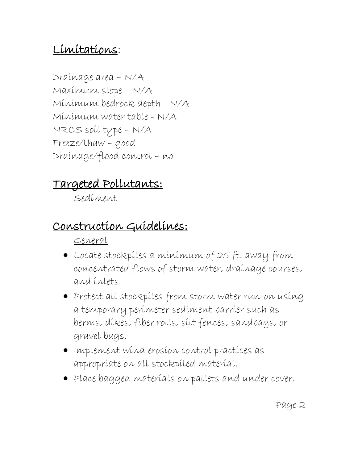## Limitations:

Drainage area – N/A Maximum slope – N/A Minimum bedrock depth - N/A Minimum water table - N/A NRCS soil type – N/A Freeze/thaw – good Drainage/flood control – no

# Targeted Pollutants:

Sediment

## Construction Guidelines:

General

- Locate stockpiles a minimum of 25 ft. away from concentrated flows of storm water, drainage courses, and inlets.
- Protect all stockpiles from storm water run-on using a temporary perimeter sediment barrier such as berms, dikes, fiber rolls, silt fences, sandbags, or gravel bags.
- Implement wind erosion control practices as appropriate on all stockpiled material.
- Place bagged materials on pallets and under cover.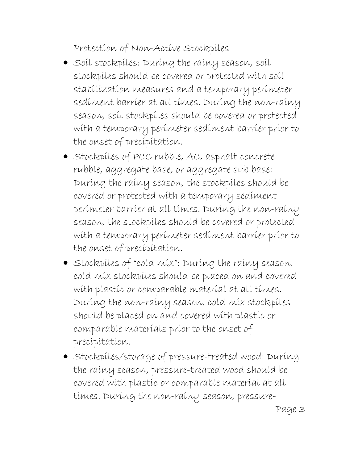Protection of Non-Active Stockpiles

- Soil stockpiles: During the rainy season, soil stockpiles should be covered or protected with soil stabilization measures and a temporary perimeter sediment barrier at all times. During the non-rainy season, soil stockpiles should be covered or protected with a temporary perimeter sediment barrier prior to the onset of precipitation.
- Stockpiles of PCC rubble, AC, asphalt concrete rubble, aggregate base, or aggregate sub base: During the rainy season, the stockpiles should be covered or protected with a temporary sediment perimeter barrier at all times. During the non-rainy season, the stockpiles should be covered or protected with a temporary perimeter sediment barrier prior to the onset of precipitation.
- Stockpiles of "cold mix": During the rainy season, cold mix stockpiles should be placed on and covered with plastic or comparable material at all times. During the non-rainy season, cold mix stockpiles should be placed on and covered with plastic or comparable materials prior to the onset of precipitation.
- Stockpiles/storage of pressure-treated wood: During the rainy season, pressure-treated wood should be covered with plastic or comparable material at all times. During the non-rainy season, pressure-